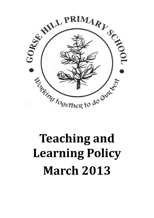

# **Teaching and Learning Policy March 2013**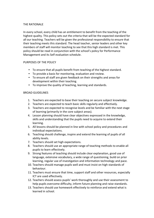### THE RATIONALE

In every school, every child has an entitlement to benefit from the teaching of the highest quality. This policy sets out the criteria that will be the expected standard for all our teaching. Teachers will be given the professional responsibility to ensure that their teaching meets this standard. The head teacher, senior leaders and other key members of staff will monitor teaching to see that this high standard is met. This policy should be read in conjunction with the school's policy for Performance Management and its Self evaluation schedule.

## PURPOSES OF THE POLICY

- To ensure that all pupils benefit from teaching of the highest standard.
- To provide a basis for monitoring, evaluation and review.
- To ensure all staff are given feedback on their strengths and areas for development within their teaching.
- To improve the quality of teaching, learning and standards.

## BROAD GUIDELINES

- 1. Teachers are expected to base their teaching on secure subject knowledge.
- 2. Teachers are expected to teach basic skills regularly and effectively.
- 3. Teachers are expected to recognise levels and be familiar with the next stage of learning (primarily in the core subject areas).
- 4. Lesson planning should have clear objectives expressed in the knowledge, skills and understanding that the pupils need to acquire to extend their learning.
- 5. All lessons should be planned in line with school policy and procedures and individual expectations.
- 6. Teaching should challenge, inspire and extend the learning of pupils of all ability levels.
- 7. Teachers should set high expectations.
- 8. Teachers should use an appropriate range of teaching methods to enable all pupils to learn effectively.
- 9. Strong features of teaching should include clear explanation, good use of language, extensive vocabulary, a wide range of questioning, build on prior learning, regular use of investigation and information technology and pace.
- 10. Teachers should manage pupils well and must insist on high standards of behaviour.
- 11. Teachers must ensure that time, support staff and other resources, especially ICT are used effectively.
- 12. Teachers should assess pupils' work thoroughly and use their assessment to help pupils overcome difficulty, inform future planning and raise standards.
- 13. Teachers should use homework effectively to reinforce and extend what is learned in school.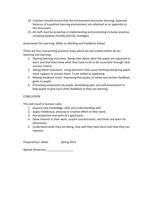- 14. Teachers should ensure that the environment promotes learning. Expected features of a positive learning environment are attached as an appendix to this document.
- 15. All staff must be proactive in implementing and promoting inclusive practice, including dyslexia friendly and EAL strategies.

Assessment for Learning: (Refer to Marking and Feedback Policy)

There are four overarching practical areas which we will embed within all our teaching and learning.

- 1. Sharing learning outcomes. Being clear about what the pupils are expected to learn and that they know what they have to do to be successful through clear success criteria.
- 2. Asking better questions. Using questions that cause thinking and giving pupils more support to answer them. To be skilled at explaining.
- 3. Making feedback count. Improving the quality of verbal and written feedback given to pupils.
- 4. Promoting assessment by pupils. Developing peer and self-assessment to help pupils to give each other feedback as they are learning.

## **CONCLUSION**

This will result in learners who:

- 1. Acquire new knowledge, skills and understanding well.
- 2. Apply intellectual, physical or creative effort to their work.
- 3. Are productive and work at a good pace.
- 4. Show interest in their work, sustain concentration, and think and learn for themselves.
- 5. Understand what they are doing, how well they have done and how they can improve.

Prepared by L Bates Spring 2013

Agreed Governors \_\_\_\_\_\_\_\_\_\_\_\_\_\_\_\_\_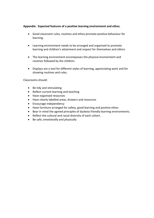# **Appendix: Expected features of a positive learning environment and ethos.**

- Good classroom rules, routines and ethos promote positive behaviour for learning.
- Learning environment needs to be arranged and organised to promote learning and children's attainment and respect for themselves and others
- The learning environment encompasses the physical environment and routines followed by the children.
- Displays are a tool for different styles of learning, appreciating work and for showing routines and rules.

Classrooms should:

- Be tidy and stimulating
- Reflect current learning and teaching
- Have organised resources
- Have clearly labelled areas, drawers and resources
- Encourage independency
- Have furniture arranged for safety, good learning and positive ethos
- Bear in mind the agreed principles of dyslexia friendly learning environments.
- Reflect the cultural and racial diversity of each cohort.
- Be safe, emotionally and physically